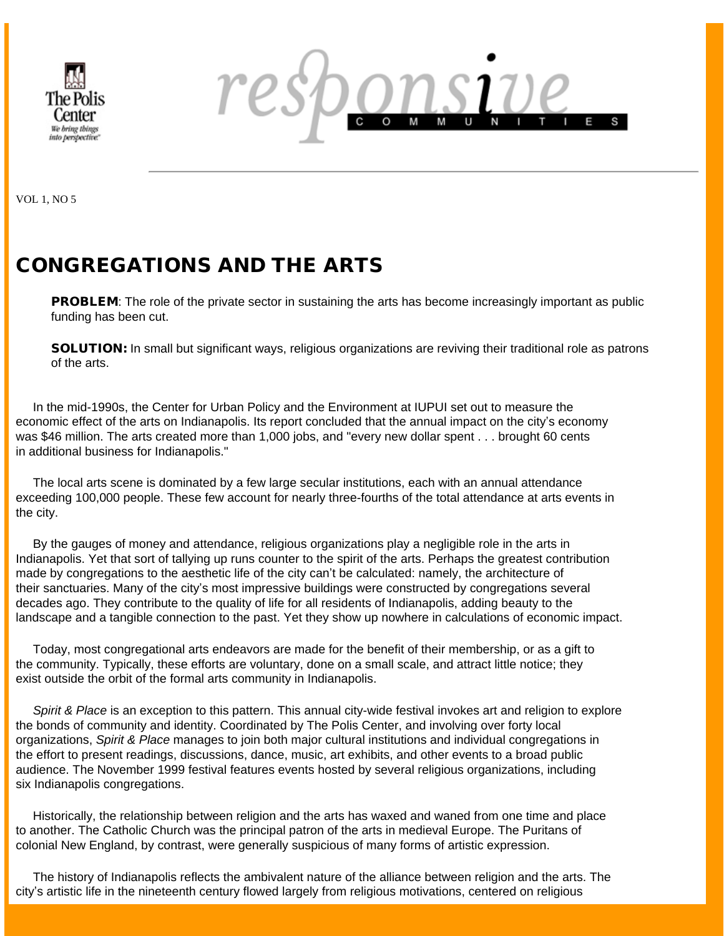



VOL 1, NO 5

# CONGREGATIONS AND THE ARTS

**PROBLEM:** The role of the private sector in sustaining the arts has become increasingly important as public funding has been cut.

SOLUTION: In small but significant ways, religious organizations are reviving their traditional role as patrons of the arts.

 In the mid-1990s, the Center for Urban Policy and the Environment at IUPUI set out to measure the economic effect of the arts on Indianapolis. Its report concluded that the annual impact on the city's economy was \$46 million. The arts created more than 1,000 jobs, and "every new dollar spent . . . brought 60 cents in additional business for Indianapolis."

 The local arts scene is dominated by a few large secular institutions, each with an annual attendance exceeding 100,000 people. These few account for nearly three-fourths of the total attendance at arts events in the city.

 By the gauges of money and attendance, religious organizations play a negligible role in the arts in Indianapolis. Yet that sort of tallying up runs counter to the spirit of the arts. Perhaps the greatest contribution made by congregations to the aesthetic life of the city can't be calculated: namely, the architecture of their sanctuaries. Many of the city's most impressive buildings were constructed by congregations several decades ago. They contribute to the quality of life for all residents of Indianapolis, adding beauty to the landscape and a tangible connection to the past. Yet they show up nowhere in calculations of economic impact.

 Today, most congregational arts endeavors are made for the benefit of their membership, or as a gift to the community. Typically, these efforts are voluntary, done on a small scale, and attract little notice; they exist outside the orbit of the formal arts community in Indianapolis.

 *Spirit & Place* is an exception to this pattern. This annual city-wide festival invokes art and religion to explore the bonds of community and identity. Coordinated by The Polis Center, and involving over forty local organizations, *Spirit & Place* manages to join both major cultural institutions and individual congregations in the effort to present readings, discussions, dance, music, art exhibits, and other events to a broad public audience. The November 1999 festival features events hosted by several religious organizations, including six Indianapolis congregations.

 Historically, the relationship between religion and the arts has waxed and waned from one time and place to another. The Catholic Church was the principal patron of the arts in medieval Europe. The Puritans of colonial New England, by contrast, were generally suspicious of many forms of artistic expression.

 The history of Indianapolis reflects the ambivalent nature of the alliance between religion and the arts. The city's artistic life in the nineteenth century flowed largely from religious motivations, centered on religious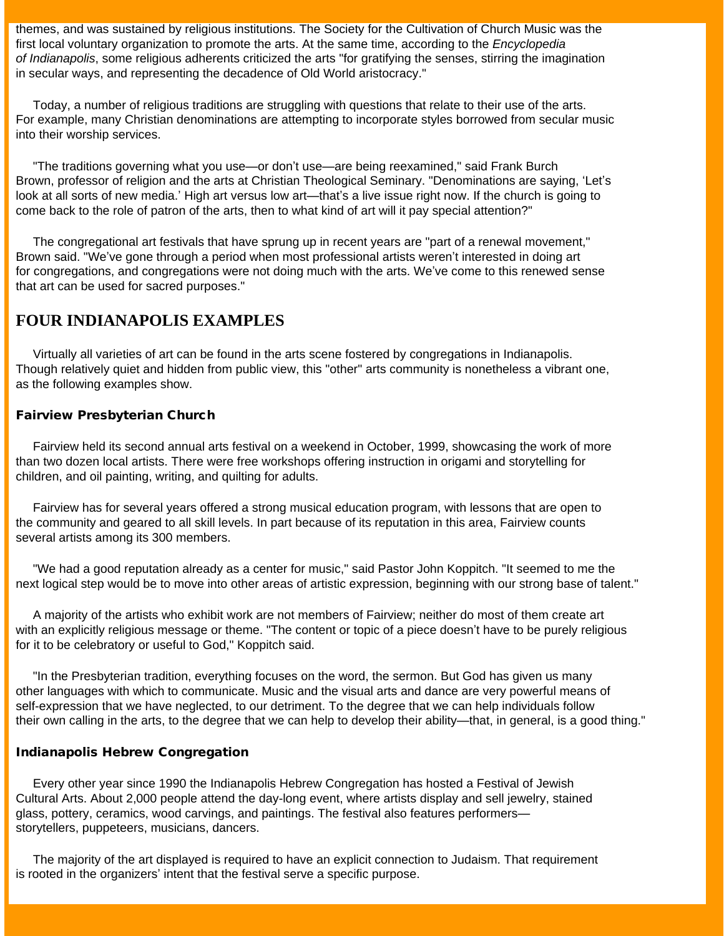themes, and was sustained by religious institutions. The Society for the Cultivation of Church Music was the first local voluntary organization to promote the arts. At the same time, according to the *Encyclopedia of Indianapolis*, some religious adherents criticized the arts "for gratifying the senses, stirring the imagination in secular ways, and representing the decadence of Old World aristocracy."

 Today, a number of religious traditions are struggling with questions that relate to their use of the arts. For example, many Christian denominations are attempting to incorporate styles borrowed from secular music into their worship services.

 "The traditions governing what you use—or don't use—are being reexamined," said Frank Burch Brown, professor of religion and the arts at Christian Theological Seminary. "Denominations are saying, 'Let's look at all sorts of new media.' High art versus low art—that's a live issue right now. If the church is going to come back to the role of patron of the arts, then to what kind of art will it pay special attention?"

 The congregational art festivals that have sprung up in recent years are "part of a renewal movement," Brown said. "We've gone through a period when most professional artists weren't interested in doing art for congregations, and congregations were not doing much with the arts. We've come to this renewed sense that art can be used for sacred purposes."

### **FOUR INDIANAPOLIS EXAMPLES**

 Virtually all varieties of art can be found in the arts scene fostered by congregations in Indianapolis. Though relatively quiet and hidden from public view, this "other" arts community is nonetheless a vibrant one, as the following examples show.

#### Fairview Presbyterian Church

 Fairview held its second annual arts festival on a weekend in October, 1999, showcasing the work of more than two dozen local artists. There were free workshops offering instruction in origami and storytelling for children, and oil painting, writing, and quilting for adults.

 Fairview has for several years offered a strong musical education program, with lessons that are open to the community and geared to all skill levels. In part because of its reputation in this area, Fairview counts several artists among its 300 members.

 "We had a good reputation already as a center for music," said Pastor John Koppitch. "It seemed to me the next logical step would be to move into other areas of artistic expression, beginning with our strong base of talent."

 A majority of the artists who exhibit work are not members of Fairview; neither do most of them create art with an explicitly religious message or theme. "The content or topic of a piece doesn't have to be purely religious for it to be celebratory or useful to God," Koppitch said.

 "In the Presbyterian tradition, everything focuses on the word, the sermon. But God has given us many other languages with which to communicate. Music and the visual arts and dance are very powerful means of self-expression that we have neglected, to our detriment. To the degree that we can help individuals follow their own calling in the arts, to the degree that we can help to develop their ability—that, in general, is a good thing."

#### Indianapolis Hebrew Congregation

 Every other year since 1990 the Indianapolis Hebrew Congregation has hosted a Festival of Jewish Cultural Arts. About 2,000 people attend the day-long event, where artists display and sell jewelry, stained glass, pottery, ceramics, wood carvings, and paintings. The festival also features performers storytellers, puppeteers, musicians, dancers.

 The majority of the art displayed is required to have an explicit connection to Judaism. That requirement is rooted in the organizers' intent that the festival serve a specific purpose.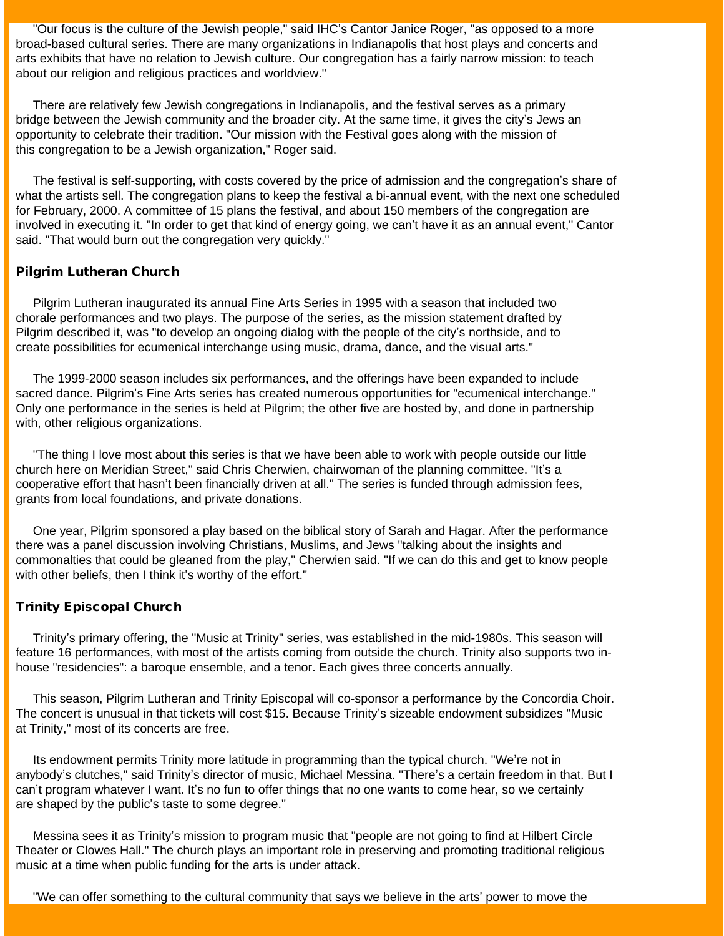"Our focus is the culture of the Jewish people," said IHC's Cantor Janice Roger, "as opposed to a more broad-based cultural series. There are many organizations in Indianapolis that host plays and concerts and arts exhibits that have no relation to Jewish culture. Our congregation has a fairly narrow mission: to teach about our religion and religious practices and worldview."

 There are relatively few Jewish congregations in Indianapolis, and the festival serves as a primary bridge between the Jewish community and the broader city. At the same time, it gives the city's Jews an opportunity to celebrate their tradition. "Our mission with the Festival goes along with the mission of this congregation to be a Jewish organization," Roger said.

 The festival is self-supporting, with costs covered by the price of admission and the congregation's share of what the artists sell. The congregation plans to keep the festival a bi-annual event, with the next one scheduled for February, 2000. A committee of 15 plans the festival, and about 150 members of the congregation are involved in executing it. "In order to get that kind of energy going, we can't have it as an annual event," Cantor said. "That would burn out the congregation very quickly."

#### Pilgrim Lutheran Church

 Pilgrim Lutheran inaugurated its annual Fine Arts Series in 1995 with a season that included two chorale performances and two plays. The purpose of the series, as the mission statement drafted by Pilgrim described it, was "to develop an ongoing dialog with the people of the city's northside, and to create possibilities for ecumenical interchange using music, drama, dance, and the visual arts."

 The 1999-2000 season includes six performances, and the offerings have been expanded to include sacred dance. Pilgrim's Fine Arts series has created numerous opportunities for "ecumenical interchange." Only one performance in the series is held at Pilgrim; the other five are hosted by, and done in partnership with, other religious organizations.

 "The thing I love most about this series is that we have been able to work with people outside our little church here on Meridian Street," said Chris Cherwien, chairwoman of the planning committee. "It's a cooperative effort that hasn't been financially driven at all." The series is funded through admission fees, grants from local foundations, and private donations.

 One year, Pilgrim sponsored a play based on the biblical story of Sarah and Hagar. After the performance there was a panel discussion involving Christians, Muslims, and Jews "talking about the insights and commonalties that could be gleaned from the play," Cherwien said. "If we can do this and get to know people with other beliefs, then I think it's worthy of the effort."

#### Trinity Episcopal Church

 Trinity's primary offering, the "Music at Trinity" series, was established in the mid-1980s. This season will feature 16 performances, with most of the artists coming from outside the church. Trinity also supports two inhouse "residencies": a baroque ensemble, and a tenor. Each gives three concerts annually.

 This season, Pilgrim Lutheran and Trinity Episcopal will co-sponsor a performance by the Concordia Choir. The concert is unusual in that tickets will cost \$15. Because Trinity's sizeable endowment subsidizes "Music at Trinity," most of its concerts are free.

 Its endowment permits Trinity more latitude in programming than the typical church. "We're not in anybody's clutches," said Trinity's director of music, Michael Messina. "There's a certain freedom in that. But I can't program whatever I want. It's no fun to offer things that no one wants to come hear, so we certainly are shaped by the public's taste to some degree."

 Messina sees it as Trinity's mission to program music that "people are not going to find at Hilbert Circle Theater or Clowes Hall." The church plays an important role in preserving and promoting traditional religious music at a time when public funding for the arts is under attack.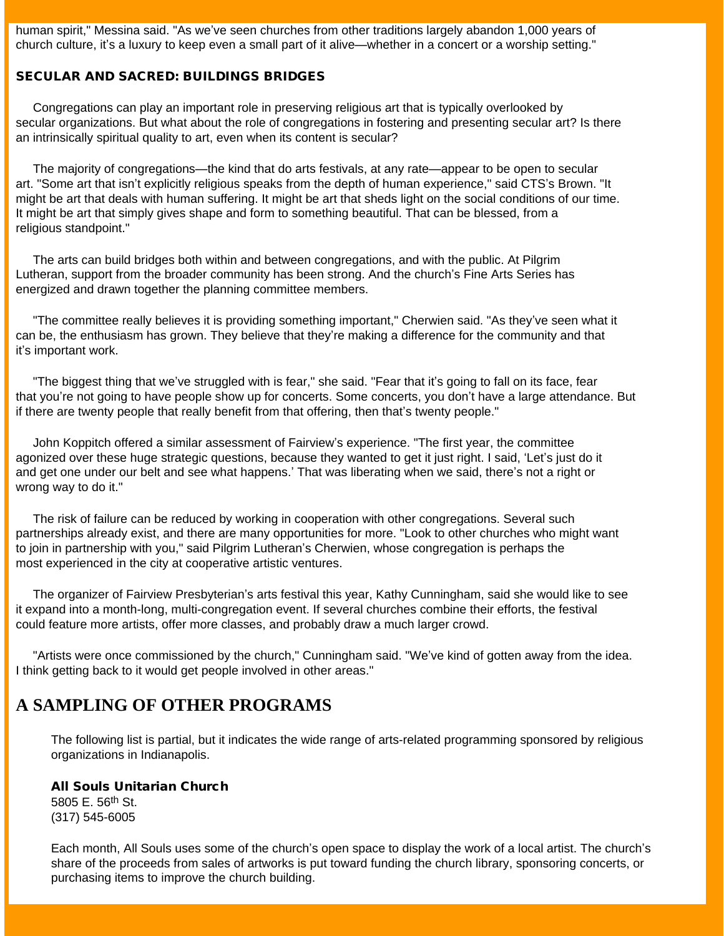human spirit," Messina said. "As we've seen churches from other traditions largely abandon 1,000 years of church culture, it's a luxury to keep even a small part of it alive—whether in a concert or a worship setting."

#### SECULAR AND SACRED: BUILDINGS BRIDGES

 Congregations can play an important role in preserving religious art that is typically overlooked by secular organizations. But what about the role of congregations in fostering and presenting secular art? Is there an intrinsically spiritual quality to art, even when its content is secular?

 The majority of congregations—the kind that do arts festivals, at any rate—appear to be open to secular art. "Some art that isn't explicitly religious speaks from the depth of human experience," said CTS's Brown. "It might be art that deals with human suffering. It might be art that sheds light on the social conditions of our time. It might be art that simply gives shape and form to something beautiful. That can be blessed, from a religious standpoint."

 The arts can build bridges both within and between congregations, and with the public. At Pilgrim Lutheran, support from the broader community has been strong. And the church's Fine Arts Series has energized and drawn together the planning committee members.

 "The committee really believes it is providing something important," Cherwien said. "As they've seen what it can be, the enthusiasm has grown. They believe that they're making a difference for the community and that it's important work.

 "The biggest thing that we've struggled with is fear," she said. "Fear that it's going to fall on its face, fear that you're not going to have people show up for concerts. Some concerts, you don't have a large attendance. But if there are twenty people that really benefit from that offering, then that's twenty people."

 John Koppitch offered a similar assessment of Fairview's experience. "The first year, the committee agonized over these huge strategic questions, because they wanted to get it just right. I said, 'Let's just do it and get one under our belt and see what happens.' That was liberating when we said, there's not a right or wrong way to do it."

 The risk of failure can be reduced by working in cooperation with other congregations. Several such partnerships already exist, and there are many opportunities for more. "Look to other churches who might want to join in partnership with you," said Pilgrim Lutheran's Cherwien, whose congregation is perhaps the most experienced in the city at cooperative artistic ventures.

 The organizer of Fairview Presbyterian's arts festival this year, Kathy Cunningham, said she would like to see it expand into a month-long, multi-congregation event. If several churches combine their efforts, the festival could feature more artists, offer more classes, and probably draw a much larger crowd.

 "Artists were once commissioned by the church," Cunningham said. "We've kind of gotten away from the idea. I think getting back to it would get people involved in other areas."

### **A SAMPLING OF OTHER PROGRAMS**

The following list is partial, but it indicates the wide range of arts-related programming sponsored by religious organizations in Indianapolis.

#### All Souls Unitarian Church

5805 E. 56th St. (317) 545-6005

Each month, All Souls uses some of the church's open space to display the work of a local artist. The church's share of the proceeds from sales of artworks is put toward funding the church library, sponsoring concerts, or purchasing items to improve the church building.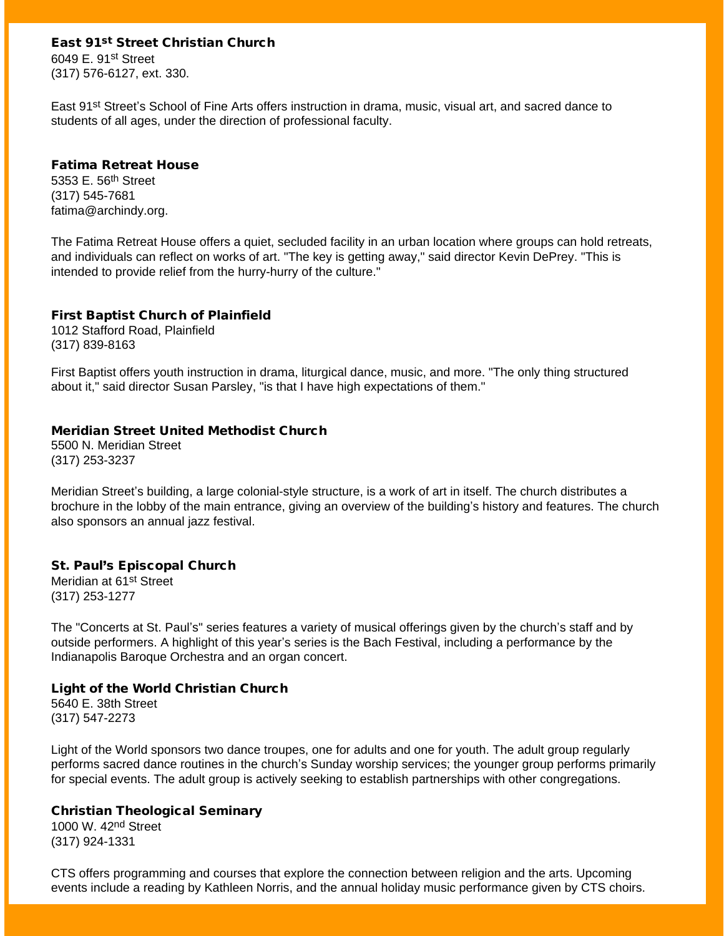#### East 91st Street Christian Church

6049 E. 91st Street (317) 576-6127, ext. 330.

East 91st Street's School of Fine Arts offers instruction in drama, music, visual art, and sacred dance to students of all ages, under the direction of professional faculty.

#### Fatima Retreat House

5353 E. 56th Street (317) 545-7681 fatima@archindy.org.

The Fatima Retreat House offers a quiet, secluded facility in an urban location where groups can hold retreats, and individuals can reflect on works of art. "The key is getting away," said director Kevin DePrey. "This is intended to provide relief from the hurry-hurry of the culture."

#### First Baptist Church of Plainfield

1012 Stafford Road, Plainfield (317) 839-8163

First Baptist offers youth instruction in drama, liturgical dance, music, and more. "The only thing structured about it," said director Susan Parsley, "is that I have high expectations of them."

#### Meridian Street United Methodist Church

5500 N. Meridian Street (317) 253-3237

Meridian Street's building, a large colonial-style structure, is a work of art in itself. The church distributes a brochure in the lobby of the main entrance, giving an overview of the building's history and features. The church also sponsors an annual jazz festival.

#### St. Paul's Episcopal Church

Meridian at 61st Street (317) 253-1277

The "Concerts at St. Paul's" series features a variety of musical offerings given by the church's staff and by outside performers. A highlight of this year's series is the Bach Festival, including a performance by the Indianapolis Baroque Orchestra and an organ concert.

#### Light of the World Christian Church

5640 E. 38th Street (317) 547-2273

Light of the World sponsors two dance troupes, one for adults and one for youth. The adult group regularly performs sacred dance routines in the church's Sunday worship services; the younger group performs primarily for special events. The adult group is actively seeking to establish partnerships with other congregations.

#### Christian Theological Seminary

1000 W. 42nd Street (317) 924-1331

CTS offers programming and courses that explore the connection between religion and the arts. Upcoming events include a reading by Kathleen Norris, and the annual holiday music performance given by CTS choirs.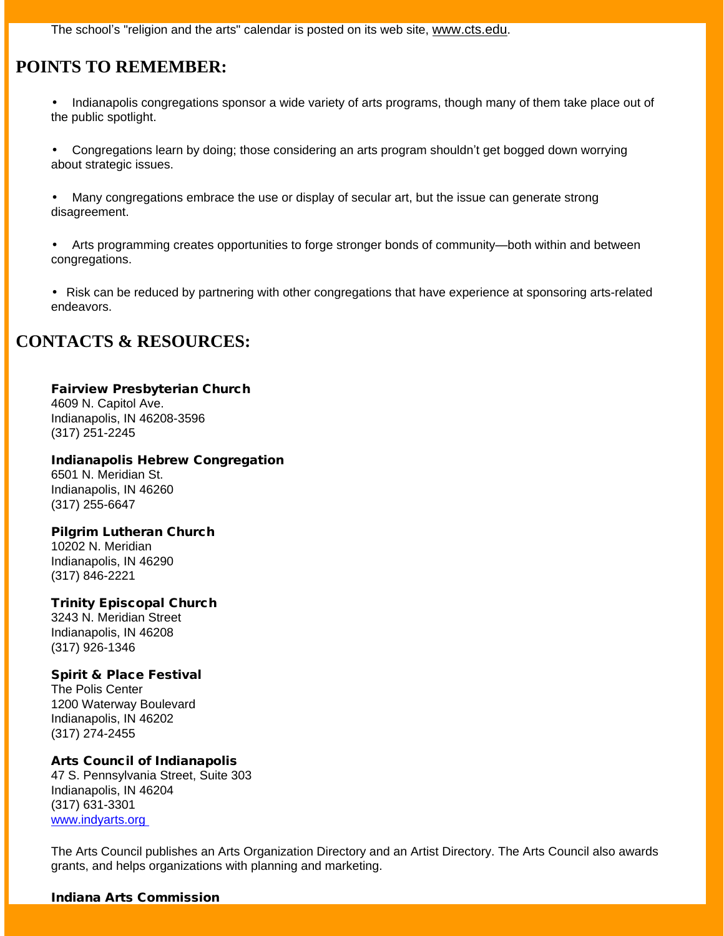The school's "religion and the arts" calendar is posted on its web site, [www.cts.edu](http://www.cts.edu/).

## **POINTS TO REMEMBER:**

- Indianapolis congregations sponsor a wide variety of arts programs, though many of them take place out of the public spotlight.
- Congregations learn by doing; those considering an arts program shouldn't get bogged down worrying about strategic issues.
- Many congregations embrace the use or display of secular art, but the issue can generate strong disagreement.
- Arts programming creates opportunities to forge stronger bonds of community—both within and between congregations.
- Risk can be reduced by partnering with other congregations that have experience at sponsoring arts-related endeavors.

### **CONTACTS & RESOURCES:**

#### Fairview Presbyterian Church

4609 N. Capitol Ave. Indianapolis, IN 46208-3596 (317) 251-2245

#### Indianapolis Hebrew Congregation

6501 N. Meridian St. Indianapolis, IN 46260 (317) 255-6647

#### Pilgrim Lutheran Church

10202 N. Meridian Indianapolis, IN 46290 (317) 846-2221

#### Trinity Episcopal Church

3243 N. Meridian Street Indianapolis, IN 46208 (317) 926-1346

#### Spirit & Place Festival

The Polis Center 1200 Waterway Boulevard Indianapolis, IN 46202 (317) 274-2455

#### Arts Council of Indianapolis

47 S. Pennsylvania Street, Suite 303 Indianapolis, IN 46204 (317) 631-3301 www.indyarts.org

The Arts Council publishes an Arts Organization Directory and an Artist Directory. The Arts Council also awards grants, and helps organizations with planning and marketing.

#### Indiana Arts Commission